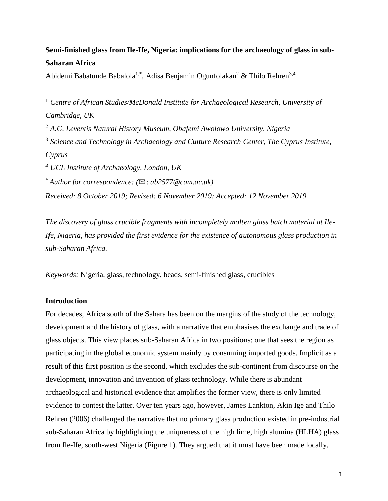# **Semi-finished glass from Ile-Ife, Nigeria: implications for the archaeology of glass in sub-Saharan Africa**

Abidemi Babatunde Babalola<sup>1,\*</sup>, Adisa Benjamin Ogunfolakan<sup>2</sup> & Thilo Rehren<sup>3,4</sup>

<sup>1</sup> *Centre of African Studies/McDonald Institute for Archaeological Research, University of Cambridge, UK* <sup>2</sup> *A.G. Leventis Natural History Museum, Obafemi Awolowo University, Nigeria* <sup>3</sup> Science and Technology in Archaeology and Culture Research Center, The Cyprus Institute, *Cyprus <sup>4</sup> UCL Institute of Archaeology, London, UK* \* *Author for correspondence: (*✉: *ab2577@cam.ac.uk) Received: 8 October 2019; Revised: 6 November 2019; Accepted: 12 November 2019*

*The discovery of glass crucible fragments with incompletely molten glass batch material at Ile-Ife, Nigeria, has provided the first evidence for the existence of autonomous glass production in sub-Saharan Africa.*

*Keywords:* Nigeria, glass, technology, beads, semi-finished glass, crucibles

## **Introduction**

For decades, Africa south of the Sahara has been on the margins of the study of the technology, development and the history of glass, with a narrative that emphasises the exchange and trade of glass objects. This view places sub-Saharan Africa in two positions: one that sees the region as participating in the global economic system mainly by consuming imported goods. Implicit as a result of this first position is the second, which excludes the sub-continent from discourse on the development, innovation and invention of glass technology. While there is abundant archaeological and historical evidence that amplifies the former view, there is only limited evidence to contest the latter. Over ten years ago, however, James Lankton, Akin Ige and Thilo Rehren (2006) challenged the narrative that no primary glass production existed in pre-industrial sub-Saharan Africa by highlighting the uniqueness of the high lime, high alumina (HLHA) glass from Ile-Ife, south-west Nigeria (Figure 1). They argued that it must have been made locally,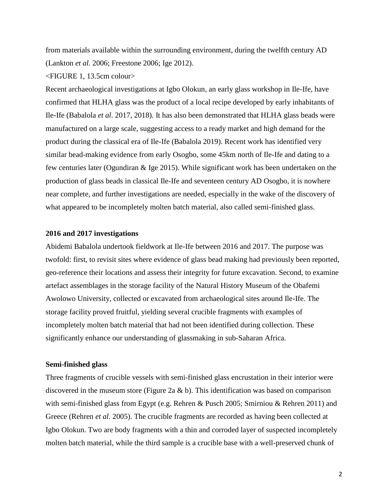from materials available within the surrounding environment, during the twelfth century AD (Lankton *et al.* 2006; Freestone 2006; Ige 2012).

<FIGURE 1, 13.5cm colour>

Recent archaeological investigations at Igbo Olokun, an early glass workshop in Ile-Ife, have confirmed that HLHA glass was the product of a local recipe developed by early inhabitants of Ile-Ife (Babalola *et al*. 2017, 2018). It has also been demonstrated that HLHA glass beads were manufactured on a large scale, suggesting access to a ready market and high demand for the product during the classical era of Ile-Ife (Babalola 2019). Recent work has identified very similar bead-making evidence from early Osogbo, some 45km north of Ile-Ife and dating to a few centuries later (Ogundiran & Ige 2015). While significant work has been undertaken on the production of glass beads in classical Ile-Ife and seventeen century AD Osogbo, it is nowhere near complete, and further investigations are needed, especially in the wake of the discovery of what appeared to be incompletely molten batch material, also called semi-finished glass.

## **2016 and 2017 investigations**

Abidemi Babalola undertook fieldwork at Ile-Ife between 2016 and 2017. The purpose was twofold: first, to revisit sites where evidence of glass bead making had previously been reported, geo-reference their locations and assess their integrity for future excavation. Second, to examine artefact assemblages in the storage facility of the Natural History Museum of the Obafemi Awolowo University, collected or excavated from archaeological sites around Ile-Ife. The storage facility proved fruitful, yielding several crucible fragments with examples of incompletely molten batch material that had not been identified during collection. These significantly enhance our understanding of glassmaking in sub-Saharan Africa.

#### **Semi-finished glass**

Three fragments of crucible vessels with semi-finished glass encrustation in their interior were discovered in the museum store (Figure 2a & b). This identification was based on comparison with semi-finished glass from Egypt (e.g. Rehren & Pusch 2005; Smirniou & Rehren 2011) and Greece (Rehren *et al.* 2005). The crucible fragments are recorded as having been collected at Igbo Olokun. Two are body fragments with a thin and corroded layer of suspected incompletely molten batch material, while the third sample is a crucible base with a well-preserved chunk of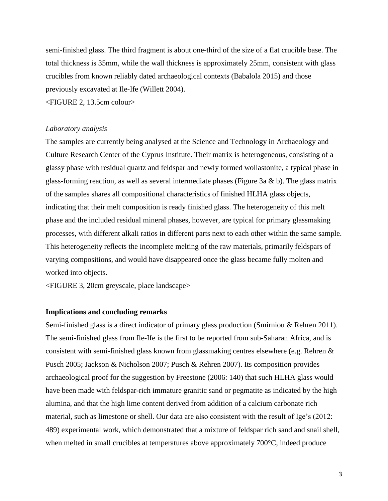semi-finished glass. The third fragment is about one-third of the size of a flat crucible base. The total thickness is 35mm, while the wall thickness is approximately 25mm, consistent with glass crucibles from known reliably dated archaeological contexts (Babalola 2015) and those previously excavated at Ile-Ife (Willett 2004).

<FIGURE 2, 13.5cm colour>

## *Laboratory analysis*

The samples are currently being analysed at the Science and Technology in Archaeology and Culture Research Center of the Cyprus Institute. Their matrix is heterogeneous, consisting of a glassy phase with residual quartz and feldspar and newly formed wollastonite, a typical phase in glass-forming reaction, as well as several intermediate phases (Figure 3a & b). The glass matrix of the samples shares all compositional characteristics of finished HLHA glass objects, indicating that their melt composition is ready finished glass. The heterogeneity of this melt phase and the included residual mineral phases, however, are typical for primary glassmaking processes, with different alkali ratios in different parts next to each other within the same sample. This heterogeneity reflects the incomplete melting of the raw materials, primarily feldspars of varying compositions, and would have disappeared once the glass became fully molten and worked into objects.

<FIGURE 3, 20cm greyscale, place landscape>

#### **Implications and concluding remarks**

Semi-finished glass is a direct indicator of primary glass production (Smirniou & Rehren 2011). The semi-finished glass from Ile-Ife is the first to be reported from sub-Saharan Africa, and is consistent with semi-finished glass known from glassmaking centres elsewhere (e.g. Rehren & Pusch 2005; Jackson & Nicholson 2007; Pusch & Rehren 2007). Its composition provides archaeological proof for the suggestion by Freestone (2006: 140) that such HLHA glass would have been made with feldspar-rich immature granitic sand or pegmatite as indicated by the high alumina, and that the high lime content derived from addition of a calcium carbonate rich material, such as limestone or shell. Our data are also consistent with the result of Ige's (2012: 489) experimental work, which demonstrated that a mixture of feldspar rich sand and snail shell, when melted in small crucibles at temperatures above approximately 700 $^{\circ}$ C, indeed produce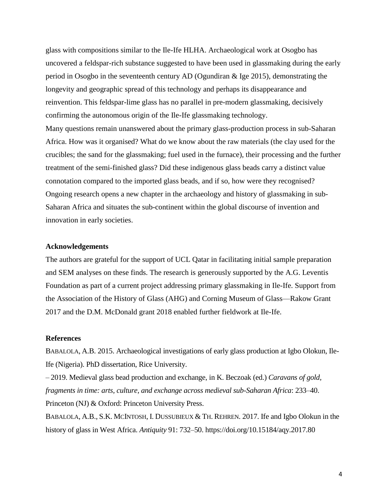glass with compositions similar to the Ile-Ife HLHA. Archaeological work at Osogbo has uncovered a feldspar-rich substance suggested to have been used in glassmaking during the early period in Osogbo in the seventeenth century AD (Ogundiran & Ige 2015), demonstrating the longevity and geographic spread of this technology and perhaps its disappearance and reinvention. This feldspar-lime glass has no parallel in pre-modern glassmaking, decisively confirming the autonomous origin of the Ile-Ife glassmaking technology. Many questions remain unanswered about the primary glass-production process in sub-Saharan Africa. How was it organised? What do we know about the raw materials (the clay used for the crucibles; the sand for the glassmaking; fuel used in the furnace), their processing and the further treatment of the semi-finished glass? Did these indigenous glass beads carry a distinct value connotation compared to the imported glass beads, and if so, how were they recognised? Ongoing research opens a new chapter in the archaeology and history of glassmaking in sub-

Saharan Africa and situates the sub-continent within the global discourse of invention and innovation in early societies.

#### **Acknowledgements**

The authors are grateful for the support of UCL Qatar in facilitating initial sample preparation and SEM analyses on these finds. The research is generously supported by the A.G. Leventis Foundation as part of a current project addressing primary glassmaking in Ile-Ife. Support from the Association of the History of Glass (AHG) and Corning Museum of Glass—Rakow Grant 2017 and the D.M. McDonald grant 2018 enabled further fieldwork at Ile-Ife.

## **References**

BABALOLA, A.B. 2015. Archaeological investigations of early glass production at Igbo Olokun, Ile-Ife (Nigeria). PhD dissertation, Rice University.

– 2019. Medieval glass bead production and exchange, in K. Beczoak (ed.) *Caravans of gold, fragments in time: arts, culture, and exchange across medieval sub-Saharan Africa*: 233–40. Princeton (NJ) & Oxford: Princeton University Press.

BABALOLA, A.B., S.K. MCINTOSH, I. DUSSUBIEUX & TH. REHREN. 2017. Ife and Igbo Olokun in the history of glass in West Africa. *Antiquity* 91: 732–50. https://doi.org/10.15184/aqy.2017.80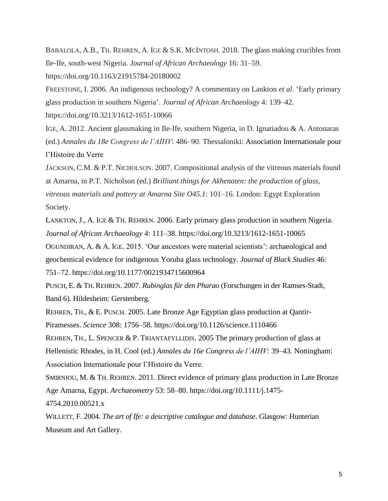BABALOLA, A.B., TH. REHREN, A. IGE & S.K. MCINTOSH. 2018. The glass making crucibles from Ile-Ife, south-west Nigeria. *Journal of African Archaeology* 16: 31–59.

https://doi.org/10.1163/21915784-20180002

FREESTONE, I. 2006. An indigenous technology? A commentary on Lankton *et al*. 'Early primary glass production in southern Nigeria'. *Journal of African Archaeology* 4: 139–42.

https://doi.org/10.3213/1612-1651-10066

IGE, A. 2012. Ancient glassmaking in Ile-Ife, southern Nigeria, in D. Ignatiadou & A. Antonaras (ed.) *Annales du 18e Congress de l'AIHV*: 486–90. Thessaloniki: Association Internationale pour l'Histoire du Verre

JACKSON, C.M. & P.T. NICHOLSON. 2007. Compositional analysis of the vitreous materials found at Amarna, in P.T. Nicholson (ed.) *Brilliant things for Akhenaten: the production of glass, vitreous materials and pottery at Amarna Site O45.1*: 101–16. London: Egypt Exploration Society.

LANKTON, J., A. IGE & TH. REHREN. 2006. Early primary glass production in southern Nigeria. *Journal of African Archaeology* 4: 111–38. https://doi.org/10.3213/1612-1651-10065

OGUNDIRAN, A. & A. IGE. 2015. 'Our ancestors were material scientists': archaeological and geochemical evidence for indigenous Yoruba glass technology. *Journal of Black Studies* 46: 751–72. https://doi.org/10.1177/0021934715600964

PUSCH, E. & TH. REHREN. 2007. *Rubinglas für den Pharao* (Forschungen in der Ramses-Stadt, Band 6). Hildesheim: Gerstenberg.

REHREN, TH., & E. PUSCH. 2005. Late Bronze Age Egyptian glass production at Qantir-Piramesses. *Science* 308: 1756–58. https://doi.org/10.1126/science.1110466

REHREN, TH., L. SPENCER & P. TRIANTAFYLLIDIS. 2005 The primary production of glass at Hellenistic Rhodes, in H. Cool (ed.) *Annales du 16e Congress de l'AIHV*: 39–43. Nottingham: Association Internationale pour l'Histoire du Verre.

SMIRNIOU, M. & TH. REHREN. 2011. Direct evidence of primary glass production in Late Bronze Age Amarna, Egypt. *Archaeometry* 53: 58–80. https://doi.org/10.1111/j.1475- 4754.2010.00521.x

WILLETT, F. 2004. *The art of Ife: a descriptive catalogue and database*. Glasgow: Hunterian Museum and Art Gallery.